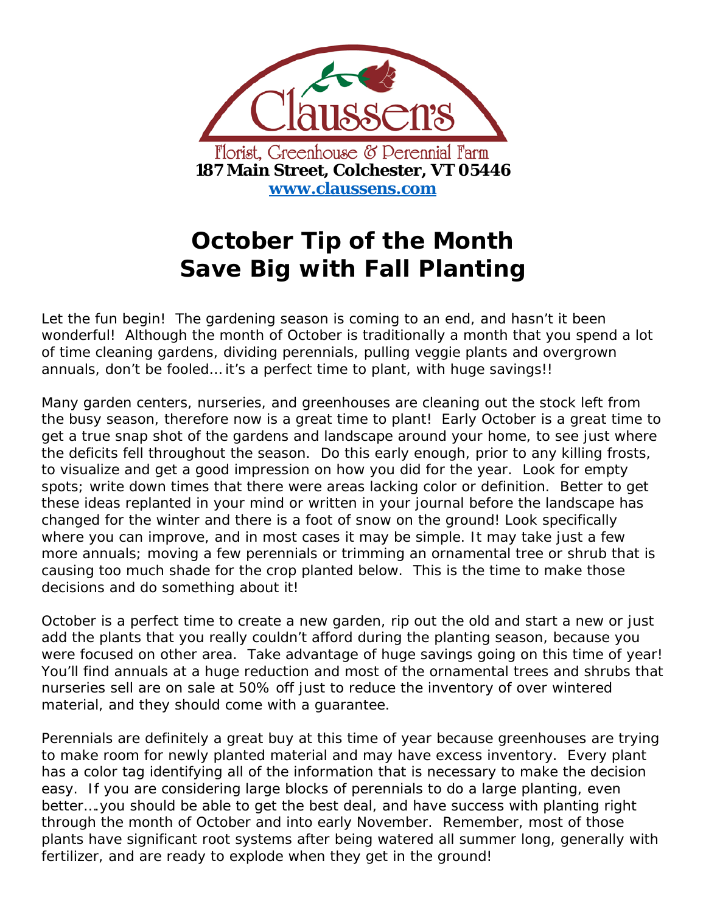

## **October Tip of the Month Save Big with Fall Planting**

Let the fun begin! The gardening season is coming to an end, and hasn't it been wonderful! Although the month of October is traditionally a month that you spend a lot of time cleaning gardens, dividing perennials, pulling veggie plants and overgrown annuals, don't be fooled… it's a perfect time to plant, with huge savings!!

Many garden centers, nurseries, and greenhouses are cleaning out the stock left from the busy season, therefore now is a great time to plant! Early October is a great time to get a true snap shot of the gardens and landscape around your home, to see just where the deficits fell throughout the season. Do this early enough, prior to any killing frosts, to visualize and get a good impression on how you did for the year. Look for empty spots; write down times that there were areas lacking color or definition. Better to get these ideas replanted in your mind or written in your journal before the landscape has changed for the winter and there is a foot of snow on the ground! Look specifically where you can improve, and in most cases it may be simple. It may take just a few more annuals; moving a few perennials or trimming an ornamental tree or shrub that is causing too much shade for the crop planted below. This is the time to make those decisions and do something about it!

October is a perfect time to create a new garden, rip out the old and start a new or just add the plants that you really couldn't afford during the planting season, because you were focused on other area. Take advantage of huge savings going on this time of year! You'll find annuals at a huge reduction and most of the ornamental trees and shrubs that nurseries sell are on sale at 50% off just to reduce the inventory of over wintered material, and they should come with a guarantee.

Perennials are definitely a great buy at this time of year because greenhouses are trying to make room for newly planted material and may have excess inventory. Every plant has a color tag identifying all of the information that is necessary to make the decision easy. If you are considering large blocks of perennials to do a large planting, even better….you should be able to get the best deal, and have success with planting right through the month of October and into early November. Remember, most of those plants have significant root systems after being watered all summer long, generally with fertilizer, and are ready to explode when they get in the ground!